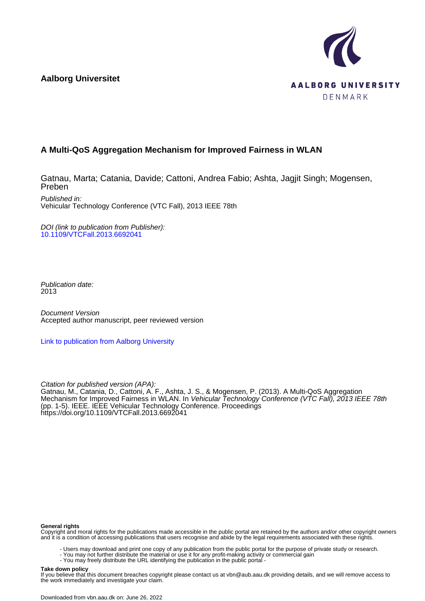**Aalborg Universitet**



# **A Multi-QoS Aggregation Mechanism for Improved Fairness in WLAN**

Gatnau, Marta; Catania, Davide; Cattoni, Andrea Fabio; Ashta, Jagjit Singh; Mogensen, Preben

Published in: Vehicular Technology Conference (VTC Fall), 2013 IEEE 78th

DOI (link to publication from Publisher): [10.1109/VTCFall.2013.6692041](https://doi.org/10.1109/VTCFall.2013.6692041)

Publication date: 2013

Document Version Accepted author manuscript, peer reviewed version

[Link to publication from Aalborg University](https://vbn.aau.dk/en/publications/678d4446-2b09-4e36-81a0-d3ba721c0f27)

Citation for published version (APA):

Gatnau, M., Catania, D., Cattoni, A. F., Ashta, J. S., & Mogensen, P. (2013). A Multi-QoS Aggregation Mechanism for Improved Fairness in WLAN. In Vehicular Technology Conference (VTC Fall), 2013 IEEE 78th (pp. 1-5). IEEE. IEEE Vehicular Technology Conference. Proceedings <https://doi.org/10.1109/VTCFall.2013.6692041>

#### **General rights**

Copyright and moral rights for the publications made accessible in the public portal are retained by the authors and/or other copyright owners and it is a condition of accessing publications that users recognise and abide by the legal requirements associated with these rights.

- Users may download and print one copy of any publication from the public portal for the purpose of private study or research.
- You may not further distribute the material or use it for any profit-making activity or commercial gain
	- You may freely distribute the URL identifying the publication in the public portal -

#### **Take down policy**

If you believe that this document breaches copyright please contact us at vbn@aub.aau.dk providing details, and we will remove access to the work immediately and investigate your claim.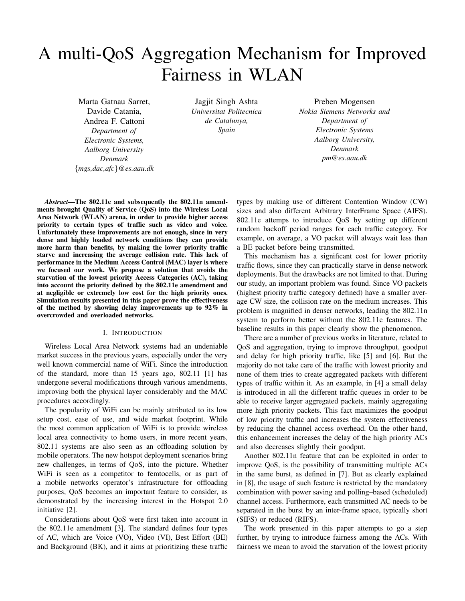# A multi-QoS Aggregation Mechanism for Improved Fairness in WLAN

Marta Gatnau Sarret, Davide Catania, Andrea F. Cattoni *Department of Electronic Systems, Aalborg University Denmark* {*mgs,dac,afc*}*@es.aau.dk*

Jagjit Singh Ashta *Universitat Politecnica de Catalunya, Spain*

Preben Mogensen *Nokia Siemens Networks and Department of Electronic Systems Aalborg University, Denmark pm@es.aau.dk*

*Abstract*—The 802.11e and subsequently the 802.11n amendments brought Quality of Service (QoS) into the Wireless Local Area Network (WLAN) arena, in order to provide higher access priority to certain types of traffic such as video and voice. Unfortunately these improvements are not enough, since in very dense and highly loaded network conditions they can provide more harm than benefits, by making the lower priority traffic starve and increasing the average collision rate. This lack of performance in the Medium Access Control (MAC) layer is where we focused our work. We propose a solution that avoids the starvation of the lowest priority Access Categories (AC), taking into account the priority defined by the 802.11e amendment and at negligible or extremely low cost for the high priority ones. Simulation results presented in this paper prove the effectiveness of the method by showing delay improvements up to 92% in overcrowded and overloaded networks.

# I. INTRODUCTION

Wireless Local Area Network systems had an undeniable market success in the previous years, especially under the very well known commercial name of WiFi. Since the introduction of the standard, more than 15 years ago, 802.11 [1] has undergone several modifications through various amendments, improving both the physical layer considerably and the MAC procedures accordingly.

The popularity of WiFi can be mainly attributed to its low setup cost, ease of use, and wide market footprint. While the most common application of WiFi is to provide wireless local area connectivity to home users, in more recent years, 802.11 systems are also seen as an offloading solution by mobile operators. The new hotspot deployment scenarios bring new challenges, in terms of QoS, into the picture. Whether WiFi is seen as a competitor to femtocells, or as part of a mobile networks operator's infrastructure for offloading purposes, QoS becomes an important feature to consider, as demonstrated by the increasing interest in the Hotspot 2.0 initiative [2].

Considerations about QoS were first taken into account in the 802.11e amendment [3]. The standard defines four types of AC, which are Voice (VO), Video (VI), Best Effort (BE) and Background (BK), and it aims at prioritizing these traffic types by making use of different Contention Window (CW) sizes and also different Arbitrary InterFrame Space (AIFS). 802.11e attemps to introduce QoS by setting up different random backoff period ranges for each traffic category. For example, on average, a VO packet will always wait less than a BE packet before being transmitted.

This mechanism has a significant cost for lower priority traffic flows, since they can practically starve in dense network deployments. But the drawbacks are not limited to that. During our study, an important problem was found. Since VO packets (highest priority traffic category defined) have a smaller average CW size, the collision rate on the medium increases. This problem is magnified in denser networks, leading the 802.11n system to perform better without the 802.11e features. The baseline results in this paper clearly show the phenomenon.

There are a number of previous works in literature, related to QoS and aggregation, trying to improve throughput, goodput and delay for high priority traffic, like [5] and [6]. But the majority do not take care of the traffic with lowest priority and none of them tries to create aggregated packets with different types of traffic within it. As an example, in [4] a small delay is introduced in all the different traffic queues in order to be able to receive larger aggregated packets, mainly aggregating more high priority packets. This fact maximizes the goodput of low priority traffic and increases the system effectiveness by reducing the channel access overhead. On the other hand, this enhancement increases the delay of the high priority ACs and also decreases slightly their goodput.

Another 802.11n feature that can be exploited in order to improve QoS, is the possibility of transmitting multiple ACs in the same burst, as defined in [7]. But as clearly explained in [8], the usage of such feature is restricted by the mandatory combination with power saving and polling–based (scheduled) channel access. Furthermore, each transmitted AC needs to be separated in the burst by an inter-frame space, typically short (SIFS) or reduced (RIFS).

The work presented in this paper attempts to go a step further, by trying to introduce fairness among the ACs. With fairness we mean to avoid the starvation of the lowest priority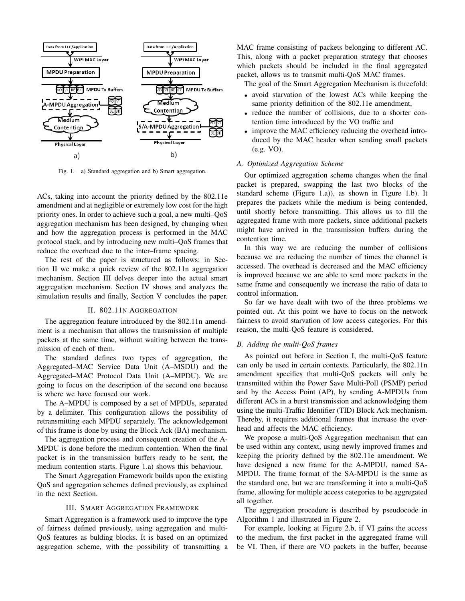

Fig. 1. a) Standard aggregation and b) Smart aggregation.

ACs, taking into account the priority defined by the 802.11e amendment and at negligible or extremely low cost for the high priority ones. In order to achieve such a goal, a new multi–QoS aggregation mechanism has been designed, by changing when and how the aggregation process is performed in the MAC protocol stack, and by introducing new multi–QoS frames that reduce the overhead due to the inter–frame spacing.

The rest of the paper is structured as follows: in Section II we make a quick review of the 802.11n aggregation mechanism. Section III delves deeper into the actual smart aggregation mechanism. Section IV shows and analyzes the simulation results and finally, Section V concludes the paper.

#### II. 802.11N AGGREGATION

The aggregation feature introduced by the 802.11n amendment is a mechanism that allows the transmission of multiple packets at the same time, without waiting between the transmission of each of them.

The standard defines two types of aggregation, the Aggregated–MAC Service Data Unit (A–MSDU) and the Aggregated–MAC Protocol Data Unit (A–MPDU). We are going to focus on the description of the second one because is where we have focused our work.

The A–MPDU is composed by a set of MPDUs, separated by a delimiter. This configuration allows the possibility of retransmitting each MPDU separately. The acknowledgement of this frame is done by using the Block Ack (BA) mechanism.

The aggregation process and consequent creation of the A-MPDU is done before the medium contention. When the final packet is in the transmission buffers ready to be sent, the medium contention starts. Figure 1.a) shows this behaviour.

The Smart Aggregation Framework builds upon the existing QoS and aggregation schemes defined previously, as explained in the next Section.

## III. SMART AGGREGATION FRAMEWORK

Smart Aggregation is a framework used to improve the type of fairness defined previously, using aggregation and multi-QoS features as bulding blocks. It is based on an optimized aggregation scheme, with the possibility of transmitting a

MAC frame consisting of packets belonging to different AC. This, along with a packet preparation strategy that chooses which packets should be included in the final aggregated packet, allows us to transmit multi-QoS MAC frames.

The goal of the Smart Aggregation Mechanism is threefold:

- avoid starvation of the lowest ACs while keeping the same priority definition of the 802.11e amendment,
- reduce the number of collisions, due to a shorter contention time introduced by the VO traffic and
- improve the MAC efficiency reducing the overhead introduced by the MAC header when sending small packets (e.g. VO).

#### *A. Optimized Aggregation Scheme*

Our optimized aggregation scheme changes when the final packet is prepared, swapping the last two blocks of the standard scheme (Figure 1.a)), as shown in Figure 1.b). It prepares the packets while the medium is being contended, until shortly before transmitting. This allows us to fill the aggregated frame with more packets, since additional packets might have arrived in the transmission buffers during the contention time.

In this way we are reducing the number of collisions because we are reducing the number of times the channel is accessed. The overhead is decreased and the MAC efficiency is improved because we are able to send more packets in the same frame and consequently we increase the ratio of data to control information.

So far we have dealt with two of the three problems we pointed out. At this point we have to focus on the network fairness to avoid starvation of low access categories. For this reason, the multi-QoS feature is considered.

### *B. Adding the multi-QoS frames*

As pointed out before in Section I, the multi-QoS feature can only be used in certain contexts. Particularly, the 802.11n amendment specifies that multi-QoS packets will only be transmitted within the Power Save Multi-Poll (PSMP) period and by the Access Point (AP), by sending A-MPDUs from different ACs in a burst transmission and acknowledging them using the multi-Traffic Identifier (TID) Block Ack mechanism. Thereby, it requires additional frames that increase the overhead and affects the MAC efficiency.

We propose a multi-QoS Aggregation mechanism that can be used within any context, using newly improved frames and keeping the priority defined by the 802.11e amendment. We have designed a new frame for the A-MPDU, named SA-MPDU. The frame format of the SA-MPDU is the same as the standard one, but we are transforming it into a multi-QoS frame, allowing for multiple access categories to be aggregated all together.

The aggregation procedure is described by pseudocode in Algorithm 1 and illustrated in Figure 2.

For example, looking at Figure 2.b, if VI gains the access to the medium, the first packet in the aggregated frame will be VI. Then, if there are VO packets in the buffer, because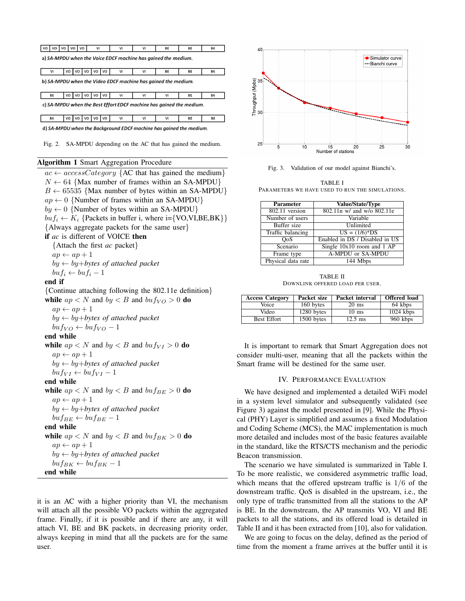| vo<br>vc                                                            | VO | VO        |           | VI        |           | VI | VI             | BE | BE | BK |
|---------------------------------------------------------------------|----|-----------|-----------|-----------|-----------|----|----------------|----|----|----|
| a) SA-MPDU when the Voice EDCF machine has gained the medium.       |    |           |           |           |           |    |                |    |    |    |
| VI                                                                  | vo | <b>VO</b> | <b>VO</b> | <b>VO</b> | <b>VO</b> | VI | VI             | BE | BE | BK |
| b) SA-MPDU when the Video EDCF machine has gained the medium.       |    |           |           |           |           |    |                |    |    |    |
| BE                                                                  | vo | VO        | VO        | VO        | <b>VO</b> | VI | V <sub>1</sub> | VI | BE | BK |
| c) SA-MPDU when the Best Effort EDCF machine has gained the medium. |    |           |           |           |           |    |                |    |    |    |
| BK                                                                  | VO | vo        | VO        | VO        | VO        | VI | VI             | VI | BE | BE |

d) SA-MPDU when the Background EDCF machine has gained the medium.

Fig. 2. SA-MPDU depending on the AC that has gained the medium.

# Algorithm 1 Smart Aggregation Procedure

 $ac \leftarrow accessCategory \{AC that has gained the medium\}$  $N \leftarrow 64$  {Max number of frames within an SA-MPDU}  $B \leftarrow 65535$  {Max number of bytes within an SA-MPDU}  $ap \leftarrow 0$  {Number of frames within an SA-MPDU}  $by \leftarrow 0$  {Number of bytes within an SA-MPDU}  $buf_i \leftarrow K_i$  {Packets in buffer i, where i={VO,VI,BE,BK}} {Always aggregate packets for the same user} if *ac* is different of VOICE then {Attach the first *ac* packet}  $ap \leftarrow ap + 1$ by ← by+*bytes of attached packet*  $buf_i \leftarrow butf_i-1$ end if {Continue attaching following the 802.11e definition} while  $ap < N$  and  $by < B$  and  $buf_{VO} > 0$  do  $ap \leftarrow ap + 1$ by ← by+*bytes of attached packet*  $buf_{VO} \leftarrow buf_{VO} - 1$ end while while  $ap < N$  and  $by < B$  and  $buf_{VI} > 0$  do  $ap \leftarrow ap + 1$ by ← by+*bytes of attached packet*  $buf_{VI} \leftarrow buf_{VI} - 1$ end while while  $ap < N$  and  $by < B$  and  $buf_{BE} > 0$  do  $ap \leftarrow ap + 1$ by ← by+*bytes of attached packet*  $buf_{BE} \leftarrow buffer - 1$ end while while  $ap < N$  and  $by < B$  and  $buf_{BK} > 0$  do  $ap \leftarrow ap + 1$ by ← by+*bytes of attached packet*  $buf_{BK} \leftarrow buf_{BK} - 1$ end while

it is an AC with a higher priority than VI, the mechanism will attach all the possible VO packets within the aggregated frame. Finally, if it is possible and if there are any, it will attach VI, BE and BK packets, in decreasing priority order, always keeping in mind that all the packets are for the same user.



Fig. 3. Validation of our model against Bianchi's.

TABLE I PARAMETERS WE HAVE USED TO RUN THE SIMULATIONS.

| <b>Parameter</b>   | Value/State/Type               |
|--------------------|--------------------------------|
| 802.11 version     | 802.11n w/ and w/o 802.11e     |
| Number of users    | Variable                       |
| Buffer size        | Unlimited                      |
| Traffic balancing  | $US = (1/6)*DS$                |
| Oo <sub>S</sub>    | Enabled in DS / Disabled in US |
| Scenario           | Single 10x10 room and 1 AP     |
| Frame type         | A-MPDU or SA-MPDU              |
| Physical data rate | 144 Mbps                       |

TABLE II DOWNLINK OFFERED LOAD PER USER.

| <b>Access Category</b> | Packet size | <b>Packet interval</b> | <b>Offered</b> load |
|------------------------|-------------|------------------------|---------------------|
| Voice                  | 160 bytes   | $20 \text{ ms}$        | 64 kbps             |
| Video                  | 1280 bytes  | $10 \text{ ms}$        | $1024$ kbps         |
| Best Effort            | 1500 bytes  | $12.5$ ms              | 960 kbps            |

It is important to remark that Smart Aggregation does not consider multi-user, meaning that all the packets within the Smart frame will be destined for the same user.

# IV. PERFORMANCE EVALUATION

We have designed and implemented a detailed WiFi model in a system level simulator and subsequently validated (see Figure 3) against the model presented in [9]. While the Physical (PHY) Layer is simplified and assumes a fixed Modulation and Coding Scheme (MCS), the MAC implementation is much more detailed and includes most of the basic features available in the standard, like the RTS/CTS mechanism and the periodic Beacon transmission.

The scenario we have simulated is summarized in Table I. To be more realistic, we considered asymmetric traffic load, which means that the offered upstream traffic is  $1/6$  of the downstream traffic. QoS is disabled in the upstream, i.e., the only type of traffic transmitted from all the stations to the AP is BE. In the downstream, the AP transmits VO, VI and BE packets to all the stations, and its offered load is detailed in Table II and it has been extracted from [10], also for validation.

We are going to focus on the delay, defined as the period of time from the moment a frame arrives at the buffer until it is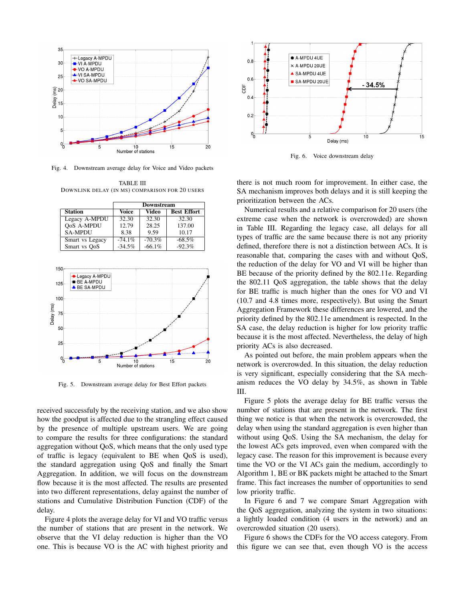

Fig. 4. Downstream average delay for Voice and Video packets

TABLE III DOWNLINK DELAY (IN MS) COMPARISON FOR 20 USERS

|                 | Downstream |          |                    |  |  |
|-----------------|------------|----------|--------------------|--|--|
| <b>Station</b>  | Voice      | Video    | <b>Best Effort</b> |  |  |
| Legacy A-MPDU   | 32.30      | 32.30    | 32.30              |  |  |
| QoS A-MPDU      | 12.79      | 28.25    | 137.00             |  |  |
| <b>SA-MPDU</b>  | 8.38       | 9.59     | 10.17              |  |  |
| Smart vs Legacy | $-74.1%$   | $-70.3%$ | $-68.5%$           |  |  |
| Smart vs QoS    | $-34.5%$   | $-66.1%$ | $-92.3%$           |  |  |



Fig. 5. Downstream average delay for Best Effort packets

received successfuly by the receiving station, and we also show how the goodput is affected due to the strangling effect caused by the presence of multiple upstream users. We are going to compare the results for three configurations: the standard aggregation without QoS, which means that the only used type of traffic is legacy (equivalent to BE when QoS is used), the standard aggregation using QoS and finally the Smart Aggregation. In addition, we will focus on the downstream flow because it is the most affected. The results are presented into two different representations, delay against the number of stations and Cumulative Distribution Function (CDF) of the delay.

Figure 4 plots the average delay for VI and VO traffic versus the number of stations that are present in the network. We observe that the VI delay reduction is higher than the VO one. This is because VO is the AC with highest priority and



Fig. 6. Voice downstream delay

there is not much room for improvement. In either case, the SA mechanism improves both delays and it is still keeping the prioritization between the ACs.

Numerical results and a relative comparison for 20 users (the extreme case when the network is overcrowded) are shown in Table III. Regarding the legacy case, all delays for all types of traffic are the same because there is not any priority defined, therefore there is not a distinction between ACs. It is reasonable that, comparing the cases with and without QoS, the reduction of the delay for VO and VI will be higher than BE because of the priority defined by the 802.11e. Regarding the 802.11 QoS aggregation, the table shows that the delay for BE traffic is much higher than the ones for VO and VI (10.7 and 4.8 times more, respectively). But using the Smart Aggregation Framework these differences are lowered, and the priority defined by the 802.11e amendment is respected. In the SA case, the delay reduction is higher for low priority traffic because it is the most affected. Nevertheless, the delay of high priority ACs is also decreased.

As pointed out before, the main problem appears when the network is overcrowded. In this situation, the delay reduction is very significant, especially considering that the SA mechanism reduces the VO delay by 34.5%, as shown in Table III.

Figure 5 plots the average delay for BE traffic versus the number of stations that are present in the network. The first thing we notice is that when the network is overcrowded, the delay when using the standard aggregation is even higher than without using QoS. Using the SA mechanism, the delay for the lowest ACs gets improved, even when compared with the legacy case. The reason for this improvement is because every time the VO or the VI ACs gain the medium, accordingly to Algorithm 1, BE or BK packets might be attached to the Smart frame. This fact increases the number of opportunities to send low priority traffic.

In Figure 6 and 7 we compare Smart Aggregation with the QoS aggregation, analyzing the system in two situations: a lightly loaded condition (4 users in the network) and an overcrowded situation (20 users).

Figure 6 shows the CDFs for the VO access category. From this figure we can see that, even though VO is the access